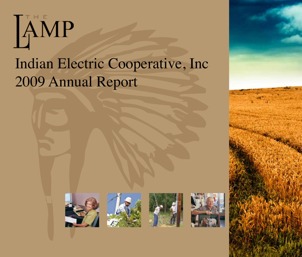# Indian Electric Cooperative, Inc 2009 Annual Report









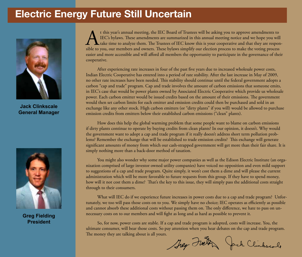## **Electric Energy Future Still Uncertain**



**Jack Clinkscale General Manager**



**Greg Fielding President**

t this year's annual meeting, the IEC Board of Trustees will be asking you to approve amendments to<br>IEC's bylaws. These amendments are summarized in this annual meeting notice and we hope you will<br>take time to analyze them IEC's bylaws. These amendments are summarized in this annual meeting notice and we hope you will take time to analyze them. The Trustees of IEC know this is your cooperative and that they are responsible to you, our members and owners. These bylaws simplify our election process to make the voting process easier and more accessible and will afford all members the opportunity to participate in the governance of their cooperative.

After experiencing rate increases in four of the past five years due to increased wholesale power costs, Indian Electric Cooperative has entered into a period of rate stability. After the last increase in May of 2009, no other rate increases have been needed. This stability should continue until the federal government adopts a carbon "cap and trade" program. Cap and trade involves the amount of carbon emissions that someone emits, in IEC's case that would be power plants owned by Associated Electric Cooperative which provide us wholesale power. Each carbon emitter would be issued credits based on the amount of their emissions. The government would then set carbon limits for each emitter and emission credits could then be purchased and sold in an exchange like any other stock. High carbon emitters (or "dirty plants" if you will) would be allowed to purchase emission credits from emitters below their established carbon emissions ("clean" plants).

How does this help the global warming problem that some people want to blame on carbon emissions if dirty plants continue to operate by buying credits from clean plants? In our opinion, it doesn't. Why would the government want to adopt a cap and trade program if it really doesn't address short term pollution problems? Remember the exchange that will be established to trade emission credits? This exchange will generate significant amounts of money from which our cash-strapped government will get more than their fair share. It is simply nothing more than a back-door method of taxation.

You might also wonder why some major power companies as well as the Edison Electric Institute (an organization comprised of large investor owned utility companies) have voiced no opposition and even mild support to suggestions of a cap and trade program. Quite simply, it won't cost them a dime and will please the current administration which will be more favorable to future requests from this group. If they have to spend money, how will it not cost them a dime? That's the key to this issue, they will simply pass the additional costs straight through to their consumers.

What will IEC do if we experience future increases in power costs due to a cap and trade program? Unfortunately, we too will pass those costs on to you. We simply have no choice; IEC operates as efficiently as possible and cannot absorb these additional costs without passing them on. The only difference, we hate to pass on unnecessary costs on to our members and will fight as long and as hard as possible to prevent it.

So, for now, power costs are stable. If a cap and trade program is adopted, costs will increase. You, the ultimate consumer, will bear those costs. So pay attention when you hear debates on the cap and trade program. The money they are talking about is all yours.

They Freth Jack Clinkscole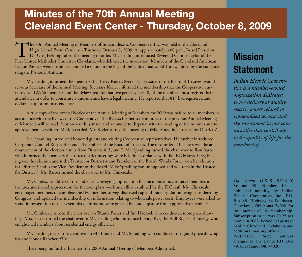## **Minutes of the 70th Annual Meeting Cleveland Event Center - Thursday, October 8, 2009**

The 70th Annual Meeting of Members of Indian Electric Cooperative, Inc. was held at the Cleveland<br>High School Event Center on Thursday, October 8, 2009. At approximately 6:00 p.m., Board Presid<br>Dr. Greg Fielding called the High School Event Center on Thursday, October 8, 2009. At approximately 6:00 p.m., Board President Dr. Greg Fielding called the meeting to order. Mr. Fielding introduced Reverend Connie Taylor of the First United Methodist Church in Cleveland, who delivered the invocation. Members of the Cleveland American Legion Post #3 were introduced and led a salute to the Flag of the United States. Ed Turley, joined by the audience, sang the National Anthem.

Mr. Fielding informed the members that Berry Keeler, Secretary-Treasurer of the Board of Trustees, would serve as Secretary of the Annual Meeting. Secretary Keeler informed the membership that the Cooperative currently has 12,966 members and the Bylaws require that five percent, or 648, of the members must register their attendance in order to constitute a quorum and have a legal meeting. He reported that 817 had registered and declared a quorum in attendance.

A true copy of the official Notice of the Annual Meeting of Members for 2009 was mailed to all members in accordance with the Bylaws of the Cooperative. The Bylaws further state minutes of the previous Annual Meeting of Members will be read. Motion was duly made and seconded to dispense with the reading of the minutes and to approve them as written. Motion carried. Mr. Keeler turned the meeting to Mike Spradling, Trustee for District 7.

Mr. Spradling introduced honored guests and visiting Cooperative representatives. He further introduced Corporate Counsel Ron Barber and all members of the Board of Trustees. The next order of business was the announcement of the election results from Districts 4, 5, and 7. Mr. Spradling turned the chair over to Ron Barber who informed the members that three district meetings were held in accordance with the IEC bylaws. Greg Fielding won his election and is the Trustee for District 4 and President of the Board. Wanda Foster won her election for District 5 and is the Vice-President of the Board. Mike Spradling was unopposed and will remain the Trustee for District 7. Mr. Barber turned the chair over to Mr. Clinkscale.

Mr. Clinkscale addressed the audience, conveying appreciation for the opportunity to serve members in the area and shared appreciation for the exemplary work and effort exhibited by the IEC staff. Mr. Clinkscale encouraged members to complete the IEC member survey, discussed cap and trade legislation being considered by Congress, and updated the membership on information relating to wholesale power costs. Employees were asked to stand in recognition of their exemplary efforts and were greeted by loud applause from appreciative members.

Mr. Clinkscale turned the chair over to Wanda Foster and Jim Hadlock who conducted more prize drawings. Mrs. Foster turned the chair over to Mr. Fielding who introduced Doug Rye, the Will Rogers of Energy, who enlightened members about residential energy efficiency.

Mr. Fielding turned the chair over to Mr. Boone and Mr. Spradling who conducted the grand prize drawing for one Honda Rancher ATV.

There being no further business, the 2009 Annual Meeting of Members Adjourned.

## **Mission Statement**

*Indian Electric Cooperative is a member-owned organization dedicated to the delivery of quality electric power related to value-added services and the investment in our communities that contribute to the quality of life for the membership.*

*The Lamp* (USPS 942-940) Volume 49, Number 10 is published monthly by Indian Electric Cooperative, Inc., P.O. Box 49, Highway 64 Southeast, Cleveland, Oklahoma 74020 for the interest of its membership. Subscription price was \$0.25 per month in 2008. Periodical postage paid at Cleveland, Oklahoma and additional mailing offices. Postmaster: Send address changes to The Lamp, P.O. Box 49, Cleveland, OK 74020.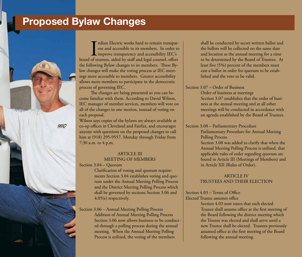## **Proposed Bylaw Changes**

**IEC** 

 $\prod_{\text{of } \text{th}}$ ndian Electric works hard to remain transparent and accessible to its members. In order to improve transparency and accessibility IEC's board of trustees, aided by staff and legal counsel, offers the following Bylaw changes to its members. These Bylaw changes will make the voting process at IEC meetings more accessible to members. Greater accessibility allows more members to participate in the democratic process of governing IEC.

The changes are being presented so you can become familiar with them. According to David Wilson, IEC manager of member services, members will vote on all of the changes in one motion, instead of voting on each proposal.

Wilson says copies of the bylaws are always available at co-op offices in Cleveland and Fairfax, and encourages anyone with questions on the proposed changes to call him at (918) 295-9557, Monday through Friday from 7:30 a.m. to 4 p.m.

#### ARTICLE III MEETING OF MEMBERS

Section 3.04 – Quorum

Clarification of voting and quorum requirements Section 3.04 establishes voting and quorum under the Annual Meeting Polling Process and the District Meeting Polling Process which shall be governed by sections Section 3.06 and 4.05(e) respectively.

Section 3.06 – Annual Meeting Polling Process Addition of Annual Meeting Polling Process Section 3.06 now allows business to be conducted through a polling process during the annual meeting. When the Annual Meeting Polling Process is utilized, the voting of the members

shall be conducted by secret written ballot and the ballots will be collected on the same date and location as the annual meeting for a time to be determined by the Board of Trustees. At least five (5%) percent of the members must cast a ballot in order for quorum to be established and the vote to be valid.

Section 3.07 – Order of Business

Order of business at meetings Section 3.07 establishes that the order of business at the annual meeting and at all other meetings will be conducted in accordance with an agenda established by the Board of Trustees.

Section 3.08 – Parliamentary Procedure

Parliamentary Procedure for Annual Meeting Polling Process

Section 3.08 was added to clarify that when the Annual Meeting Polling Process is utilized, that applicable rules of order regarding quorum are found in Article III (Meetings of Members) and in Article XII (Rules of Order).

#### ARTICLE IV TRUSTEES AND THEIR ELECTION

#### Section 4.03 – Terms of Office

Elected Trustee assumes office

Section 4.03 now states that each elected Trustee shall assume office at the first meeting of the Board following the district meeting which the Trustee was elected and shall serve until a new Trustee shall be elected. Trustees previously assumed office at the first meeting of the Board following the annual meeting.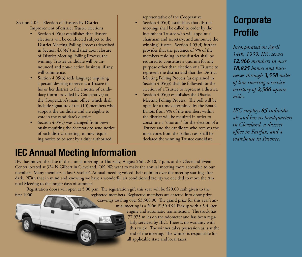Section 4.05 – Election of Trustees by District Improvement of district Trustee elections

- Section  $4.05(a)$  establishes that Trustee elections will be conducted subject to the District Meeting Polling Process (described in Section 4.05(e)) and that upon closure of District Meeting Polling Process, the winning Trustee candidate will be announced and non-election business, if any, will commence.
- Section 4.05(b) adds language requiring a person desiring to serve as a Trustee in his or her district to file a notice of candidacy (form provided by Cooperative) at the Cooperative's main office, which shall include signature of ten (10) members who support the candidate and are eligible to vote in the candidate's district.
- Section 4.05(c) was changed from previously requiring the Secretary to send notice of each district meeting, to now requiring notice to be sent by a duly authorized

representative of the Cooperative. Section 4.05(d) establishes that district meetings shall be called to order by the incumbent Trustee who will appoint a chairman and secretary; and announce the winning Trustee. Section 4.05(d) further provides that the presence of 5% of the members residing in the district shall be required to constitute a quorum for any purpose other than election of a Trustee to represent the district and that the District Meeting Polling Process (as explained in Section 4.05(e)) shall be followed for the election of a Trustee to represent a district.

Section 4.05(e) establishes the District Meeting Polling Process. The poll will be open for a time determined by the Board. Ballots from 5% of the members within the district will be required in order to constitute a "quorum" for the election of a Trustee and the candidate who receives the most votes from the ballots cast shall be declared the winning Trustee candidate.

## **Corporate Profile**

*Incorporated on April 14th, 1939, IEC serves 12,966 members in over 18,825 homes and businesses through 3,558 miles of line covering a service territory of 2,500 square miles.*

*IEC employs 85 individuals and has its headquarters in Cleveland, a district office in Fairfax, and a warehouse in Pawnee.*

### **IEC Annual Meeting Information**

IEC has moved the date of the annual meeting to Thursday, August 26th, 2010, 7 p.m. at the Cleveland Event Center located at 324 N Gilbert in Cleveland, OK. We want to make the annual meeting more accessible to our members. Many members at last October's Annual meeting voiced their opinion over the meeting starting after dark. With that in mind and knowing we have a wonderful air conditioned facility we decided to move the Annual Meeting to the longer days of summer.

Registration doors will open at 5:00 p.m. The registration gift this year will be \$20.00 cash given to the first 1000 registered members. Registered members are entered into door-prize drawings totaling over \$3,500.00. The grand prize for this year's annual meeting is a 2006 F150 4X4 Pickup with a 5.4 liter engine and automatic transmission. The truck has 77,975 miles on the odometer and has been regularly serviced by IEC. There is no warranty with this truck. The winner takes possession as is at the end of the meeting. The winner is responsible for

all applicable state and local taxes.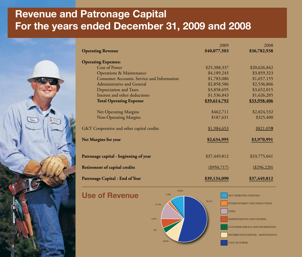# **Revenue and Patronage Capital For the years ended December 31, 2009 and 2008**

| <b>Operating Revenue</b>                   | 2009<br>\$40,077,503 | 2008<br>\$36,782,938 |
|--------------------------------------------|----------------------|----------------------|
| <b>Operating Expenses:</b>                 |                      |                      |
| Cost of Power                              | \$25,388,337         | \$20,626,842         |
| <b>Operations &amp; Maintenance</b>        | \$4,189,245          | \$3,859,323          |
| Consumer Accounts, Service and Information | \$1,783,086          | \$1,657,155          |
| Administrative and General                 | \$2,858,586          | \$2,536,866          |
| Depreciation and Taxes                     | \$3,858,695          | \$3,652,015          |
| Interest and other deductions              | \$1,536,843          | \$1,626,205          |
| <b>Total Operating Expense</b>             | \$39,614,792         | \$33,958,406         |
| Net Operating Margins                      | \$462,711            | \$2,824,532          |
| Non-Operating Margins                      | \$187,631            | \$325,400            |
| G&T Cooperative and other capital credits  | \$1,984,653          | \$821,059            |
| Net Margins for year                       | \$2,634,995          | \$3,970,991          |
| Patronage capital - beginning of year      | \$37,449,812         | \$33,775,041         |
| <b>Retirement of capital credits</b>       | (\$950,717)          | (\$296,220)          |
| Patronage Capital - End of Year            | \$39,134,090         | \$37,449,812         |

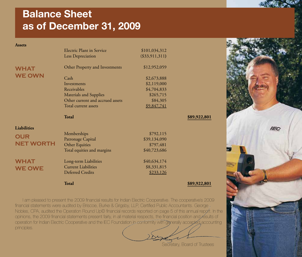# **Balance Sheet as of December 31, 2009**

| <b>Assets</b>      |                                                     |                          |              |
|--------------------|-----------------------------------------------------|--------------------------|--------------|
|                    | <b>Electric Plant in Service</b>                    | \$101,034,312            |              |
|                    | Less Depreciation                                   | $(\$33,911,311)$         |              |
| <b>WHAT</b>        | Other Property and Investments                      | \$12,952,059             |              |
| <b>WE OWN</b>      |                                                     |                          |              |
|                    | Cash                                                | \$2,673,888              |              |
|                    | Investments                                         | \$2,119,000              |              |
|                    | Receivables                                         | \$4,704,833              |              |
|                    | <b>Materials and Supplies</b>                       | \$265,715                |              |
|                    | Other current and accrued assets                    | \$84,305                 |              |
|                    | Total current assets                                | \$9,847,741              |              |
|                    |                                                     |                          |              |
|                    | <b>Total</b>                                        |                          | \$89,922,801 |
| <b>Liabilities</b> |                                                     |                          |              |
|                    | Memberships                                         | \$792,115                |              |
| <b>OUR</b>         | Patronage Capital                                   | \$39,134,090             |              |
| <b>NET WORTH</b>   | Other Equities                                      | \$797,481                |              |
|                    | Total equities and margins                          | \$40,723,686             |              |
|                    |                                                     |                          |              |
| <b>WHAT</b>        | Long-term Liabilities<br><b>Current Liabilities</b> | \$40,634,174             |              |
| <b>WE OWE</b>      | <b>Deferred Credits</b>                             | \$8,331,815<br>\$233,126 |              |

I am pleased to present the 2009 financial results for Indian Electric Cooperative. The cooperative's 2009 financial statements were audited by Briscoe, Burke & Grigsby, LLP, Certified Public Accountants. George. Nobles, CPA, audited the Operation Round Up© financial records reported on page 5 of this annual report. In the opinions, the 2009 financial statements present fairly, in all material respects, the financial position and results of operation for Indian Electric Cooperative and the IEC Foundation in conformity with generally accepted accounting principles.

Secretary, Board of Trustees

**IEC**